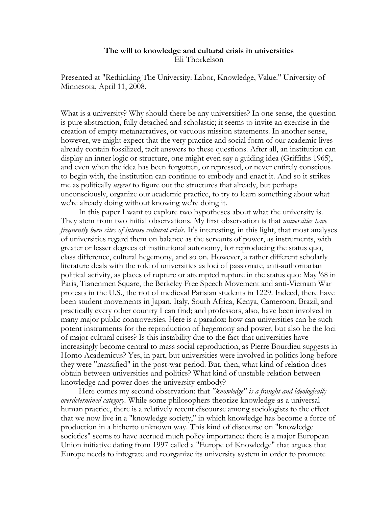## **The will to knowledge and cultural crisis in universities** Eli Thorkelson

Presented at "Rethinking The University: Labor, Knowledge, Value." University of Minnesota, April 11, 2008.

What is a university? Why should there be any universities? In one sense, the question is pure abstraction, fully detached and scholastic; it seems to invite an exercise in the creation of empty metanarratives, or vacuous mission statements. In another sense, however, we might expect that the very practice and social form of our academic lives already contain fossilized, tacit answers to these questions. After all, an institution can display an inner logic or structure, one might even say a guiding idea (Griffiths 1965), and even when the idea has been forgotten, or repressed, or never entirely conscious to begin with, the institution can continue to embody and enact it. And so it strikes me as politically *urgent* to figure out the structures that already, but perhaps unconsciously, organize our academic practice, to try to learn something about what we're already doing without knowing we're doing it.

In this paper I want to explore two hypotheses about what the university is. They stem from two initial observations. My first observation is that *universities have frequently been sites of intense cultural crisis*. It's interesting, in this light, that most analyses of universities regard them on balance as the servants of power, as instruments, with greater or lesser degrees of institutional autonomy, for reproducing the status quo, class difference, cultural hegemony, and so on. However, a rather different scholarly literature deals with the role of universities as loci of passionate, anti-authoritarian political activity, as places of rupture or attempted rupture in the status quo: May '68 in Paris, Tianenmen Square, the Berkeley Free Speech Movement and anti-Vietnam War protests in the U.S., the riot of medieval Parisian students in 1229. Indeed, there have been student movements in Japan, Italy, South Africa, Kenya, Cameroon, Brazil, and practically every other country I can find; and professors, also, have been involved in many major public controversies. Here is a paradox: how can universities can be such potent instruments for the reproduction of hegemony and power, but also be the loci of major cultural crises? Is this instability due to the fact that universities have increasingly become central to mass social reproduction, as Pierre Bourdieu suggests in Homo Academicus? Yes, in part, but universities were involved in politics long before they were "massified" in the post-war period. But, then, what kind of relation does obtain between universities and politics? What kind of unstable relation between knowledge and power does the university embody?

Here comes my second observation: that *"knowledge" is a fraught and ideologically overdetermined category*. While some philosophers theorize knowledge as a universal human practice, there is a relatively recent discourse among sociologists to the effect that we now live in a "knowledge society," in which knowledge has become a force of production in a hitherto unknown way. This kind of discourse on "knowledge societies" seems to have accrued much policy importance: there is a major European Union initiative dating from 1997 called a "Europe of Knowledge" that argues that Europe needs to integrate and reorganize its university system in order to promote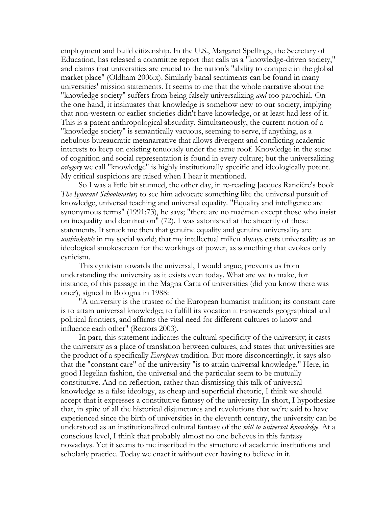employment and build citizenship. In the U.S., Margaret Spellings, the Secretary of Education, has released a committee report that calls us a "knowledge-driven society," and claims that universities are crucial to the nation's "ability to compete in the global market place" (Oldham 2006:x). Similarly banal sentiments can be found in many universities' mission statements. It seems to me that the whole narrative about the "knowledge society" suffers from being falsely universalizing *and* too parochial. On the one hand, it insinuates that knowledge is somehow new to our society, implying that non-western or earlier societies didn't have knowledge, or at least had less of it. This is a patent anthropological absurdity. Simultaneously, the current notion of a "knowledge society" is semantically vacuous, seeming to serve, if anything, as a nebulous bureaucratic metanarrative that allows divergent and conflicting academic interests to keep on existing tenuously under the same roof. Knowledge in the sense of cognition and social representation is found in every culture; but the universalizing *category* we call "knowledge" is highly institutionally specific and ideologically potent. My critical suspicions are raised when I hear it mentioned.

So I was a little bit stunned, the other day, in re-reading Jacques Rancière's book *The Ignorant Schoolmaster,* to see him advocate something like the universal pursuit of knowledge, universal teaching and universal equality. "Equality and intelligence are synonymous terms" (1991:73), he says; "there are no madmen except those who insist on inequality and domination" (72). I was astonished at the sincerity of these statements. It struck me then that genuine equality and genuine universality are *unthinkable* in my social world; that my intellectual milieu always casts universality as an ideological smokescreen for the workings of power, as something that evokes only cynicism.

This cynicism towards the universal, I would argue, prevents us from understanding the university as it exists even today. What are we to make, for instance, of this passage in the Magna Carta of universities (did you know there was one?), signed in Bologna in 1988:

"A university is the trustee of the European humanist tradition; its constant care is to attain universal knowledge; to fulfill its vocation it transcends geographical and political frontiers, and affirms the vital need for different cultures to know and influence each other" (Rectors 2003).

In part, this statement indicates the cultural specificity of the university; it casts the university as a place of translation between cultures, and states that universities are the product of a specifically *European* tradition. But more disconcertingly, it says also that the "constant care" of the university "is to attain universal knowledge." Here, in good Hegelian fashion, the universal and the particular seem to be mutually constitutive. And on reflection, rather than dismissing this talk of universal knowledge as a false ideology, as cheap and superficial rhetoric, I think we should accept that it expresses a constitutive fantasy of the university. In short, I hypothesize that, in spite of all the historical disjunctures and revolutions that we're said to have experienced since the birth of universities in the eleventh century, the university can be understood as an institutionalized cultural fantasy of the *will to universal knowledge*. At a conscious level, I think that probably almost no one believes in this fantasy nowadays. Yet it seems to me inscribed in the structure of academic institutions and scholarly practice. Today we enact it without ever having to believe in it.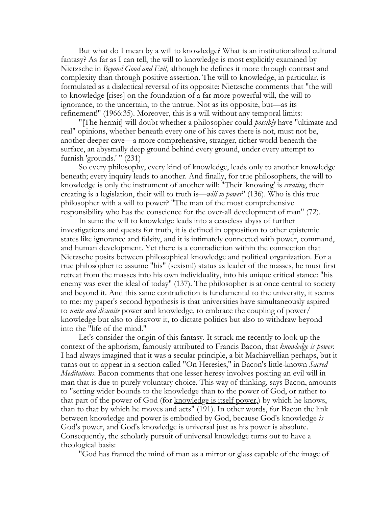But what do I mean by a will to knowledge? What is an institutionalized cultural fantasy? As far as I can tell, the will to knowledge is most explicitly examined by Nietzsche in *Beyond Good and Evil*, although he defines it more through contrast and complexity than through positive assertion. The will to knowledge, in particular, is formulated as a dialectical reversal of its opposite: Nietzsche comments that "the will to knowledge [rises] on the foundation of a far more powerful will, the will to ignorance, to the uncertain, to the untrue. Not as its opposite, but—as its refinement!" (1966:35). Moreover, this is a will without any temporal limits:

"[The hermit] will doubt whether a philosopher could *possibly* have "ultimate and real" opinions, whether beneath every one of his caves there is not, must not be, another deeper cave—a more comprehensive, stranger, richer world beneath the surface, an abysmally deep ground behind every ground, under every attempt to furnish 'grounds.' " (231)

So every philosophy, every kind of knowledge, leads only to another knowledge beneath; every inquiry leads to another. And finally, for true philosophers, the will to knowledge is only the instrument of another will: "Their 'knowing' is *creating*, their creating is a legislation, their will to truth is—*will to power*" (136). Who is this true philosopher with a will to power? "The man of the most comprehensive responsibility who has the conscience for the over-all development of man" (72).

In sum: the will to knowledge leads into a ceaseless abyss of further investigations and quests for truth, it is defined in opposition to other epistemic states like ignorance and falsity, and it is intimately connected with power, command, and human development. Yet there is a contradiction within the connection that Nietzsche posits between philosophical knowledge and political organization. For a true philosopher to assume "his" (sexism!) status as leader of the masses, he must first retreat from the masses into his own individuality, into his unique critical stance: "his enemy was ever the ideal of today" (137). The philosopher is at once central to society and beyond it. And this same contradiction is fundamental to the university, it seems to me: my paper's second hypothesis is that universities have simultaneously aspired to *unite and disunite* power and knowledge, to embrace the coupling of power/ knowledge but also to disavow it, to dictate politics but also to withdraw beyond into the "life of the mind."

Let's consider the origin of this fantasy. It struck me recently to look up the context of the aphorism, famously attributed to Francis Bacon, that *knowledge is power*. I had always imagined that it was a secular principle, a bit Machiavellian perhaps, but it turns out to appear in a section called "On Heresies," in Bacon's little-known *Sacred Meditations*. Bacon comments that one lesser heresy involves positing an evil will in man that is due to purely voluntary choice. This way of thinking, says Bacon, amounts to "setting wider bounds to the knowledge than to the power of God, or rather to that part of the power of God (for <u>knowledge is itself power</u>,) by which he knows, than to that by which he moves and acts" (191). In other words, for Bacon the link between knowledge and power is embodied by God, because God's knowledge *is* God's power, and God's knowledge is universal just as his power is absolute. Consequently, the scholarly pursuit of universal knowledge turns out to have a theological basis:

"God has framed the mind of man as a mirror or glass capable of the image of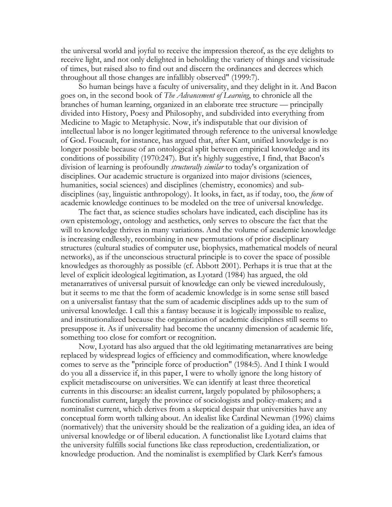the universal world and joyful to receive the impression thereof, as the eye delights to receive light, and not only delighted in beholding the variety of things and vicissitude of times, but raised also to find out and discern the ordinances and decrees which throughout all those changes are infallibly observed" (1999:7).

So human beings have a faculty of universality, and they delight in it. And Bacon goes on, in the second book of *The Advancement of Learning*, to chronicle all the branches of human learning, organized in an elaborate tree structure — principally divided into History, Poesy and Philosophy, and subdivided into everything from Medicine to Magic to Metaphysic. Now, it's indisputable that our division of intellectual labor is no longer legitimated through reference to the universal knowledge of God. Foucault, for instance, has argued that, after Kant, unified knowledge is no longer possible because of an ontological split between empirical knowledge and its conditions of possibility (1970:247). But it's highly suggestive, I find, that Bacon's division of learning is profoundly *structurally similar* to today's organization of disciplines. Our academic structure is organized into major divisions (sciences, humanities, social sciences) and disciplines (chemistry, economics) and subdisciplines (say, linguistic anthropology). It looks, in fact, as if today, too, the *form* of academic knowledge continues to be modeled on the tree of universal knowledge.

The fact that, as science studies scholars have indicated, each discipline has its own epistemology, ontology and aesthetics, only serves to obscure the fact that the will to knowledge thrives in many variations. And the volume of academic knowledge is increasing endlessly, recombining in new permutations of prior disciplinary structures (cultural studies of computer use, biophysics, mathematical models of neural networks), as if the unconscious structural principle is to cover the space of possible knowledges as thoroughly as possible (cf. Abbott 2001). Perhaps it is true that at the level of explicit ideological legitimation, as Lyotard (1984) has argued, the old metanarratives of universal pursuit of knowledge can only be viewed incredulously, but it seems to me that the form of academic knowledge is in some sense still based on a universalist fantasy that the sum of academic disciplines adds up to the sum of universal knowledge. I call this a fantasy because it is logically impossible to realize, and institutionalized because the organization of academic disciplines still seems to presuppose it. As if universality had become the uncanny dimension of academic life, something too close for comfort or recognition.

Now, Lyotard has also argued that the old legitimating metanarratives are being replaced by widespread logics of efficiency and commodification, where knowledge comes to serve as the "principle force of production" (1984:5). And I think I would do you all a disservice if, in this paper, I were to wholly ignore the long history of explicit metadiscourse on universities. We can identify at least three theoretical currents in this discourse: an idealist current, largely populated by philosophers; a functionalist current, largely the province of sociologists and policy-makers; and a nominalist current, which derives from a skeptical despair that universities have any conceptual form worth talking about. An idealist like Cardinal Newman (1996) claims (normatively) that the university should be the realization of a guiding idea, an idea of universal knowledge or of liberal education. A functionalist like Lyotard claims that the university fulfills social functions like class reproduction, credentialization, or knowledge production. And the nominalist is exemplified by Clark Kerr's famous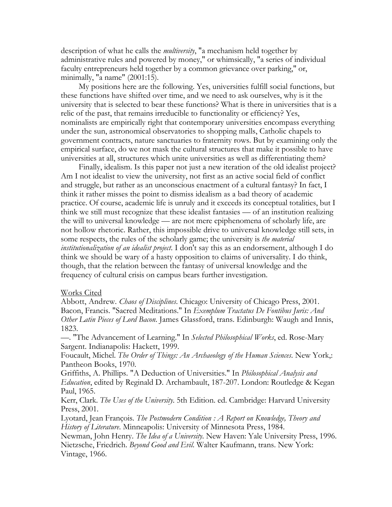description of what he calls the *multiversity*, "a mechanism held together by administrative rules and powered by money," or whimsically, "a series of individual faculty entrepreneurs held together by a common grievance over parking," or, minimally, "a name" (2001:15).

My positions here are the following. Yes, universities fulfill social functions, but these functions have shifted over time, and we need to ask ourselves, why is it the university that is selected to bear these functions? What is there in universities that is a relic of the past, that remains irreducible to functionality or efficiency? Yes, nominalists are empirically right that contemporary universities encompass everything under the sun, astronomical observatories to shopping malls, Catholic chapels to government contracts, nature sanctuaries to fraternity rows. But by examining only the empirical surface, do we not mask the cultural structures that make it possible to have universities at all, structures which unite universities as well as differentiating them?

Finally, idealism. Is this paper not just a new iteration of the old idealist project? Am I not idealist to view the university, not first as an active social field of conflict and struggle, but rather as an unconscious enactment of a cultural fantasy? In fact, I think it rather misses the point to dismiss idealism as a bad theory of academic practice. Of course, academic life is unruly and it exceeds its conceptual totalities, but I think we still must recognize that these idealist fantasies — of an institution realizing the will to universal knowledge — are not mere epiphenomena of scholarly life, are not hollow rhetoric. Rather, this impossible drive to universal knowledge still sets, in some respects, the rules of the scholarly game; the university is *the material institutionalization of an idealist project*. I don't say this as an endorsement, although I do think we should be wary of a hasty opposition to claims of universality. I do think, though, that the relation between the fantasy of universal knowledge and the frequency of cultural crisis on campus bears further investigation.

## Works Cited

Abbott, Andrew. *Chaos of Disciplines*. Chicago: University of Chicago Press, 2001. Bacon, Francis. "Sacred Meditations." In *Exemplum Tractatus De Fontibus Juris: And Other Latin Pieces of Lord Bacon*. James Glassford, trans. Edinburgh: Waugh and Innis, 1823.

—. "The Advancement of Learning." In *Selected Philosophical Works*, ed. Rose-Mary Sargent. Indianapolis: Hackett, 1999.

Foucault, Michel. *The Order of Things: An Archaeology of the Human Sciences*. New York,: Pantheon Books, 1970.

Griffiths, A. Phillips. "A Deduction of Universities." In *Philosophical Analysis and Education*, edited by Reginald D. Archambault, 187-207. London: Routledge & Kegan Paul, 1965.

Kerr, Clark. *The Uses of the University*. 5th Edition. ed. Cambridge: Harvard University Press, 2001.

Lyotard, Jean François. *The Postmodern Condition : A Report on Knowledge, Theory and History of Literature*. Minneapolis: University of Minnesota Press, 1984.

Newman, John Henry. *The Idea of a University*. New Haven: Yale University Press, 1996. Nietzsche, Friedrich. *Beyond Good and Evil*. Walter Kaufmann, trans. New York: Vintage, 1966.